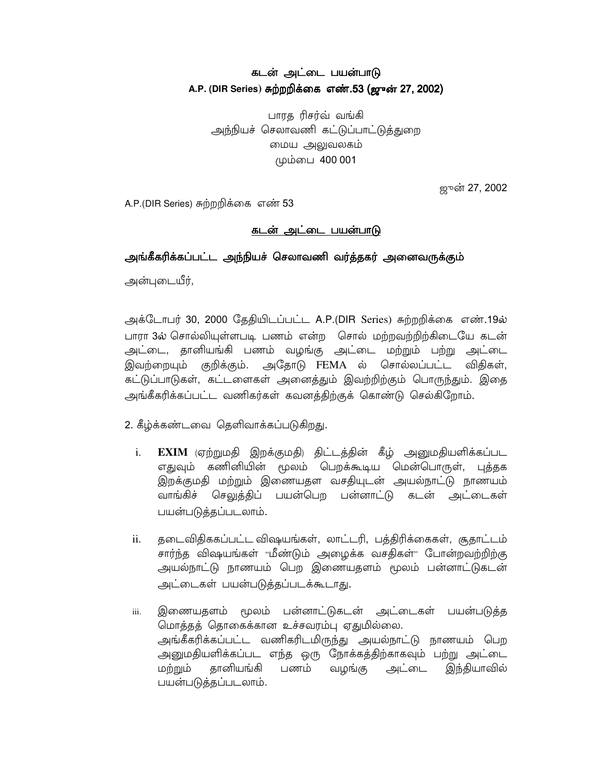## கடன் அட்டை பயன்பாடு A.P. (DIR Series) சுற்றறிக்கை எண்.53 (ஜுன் 27, 2002)

பாரக ரிசர்வ் வங்கி அந்நியச் செலாவணி கட்டுப்பாட்டுத்துறை மைய அலுவலகம் மும்பை 400 001

ஜுன் 27, 2002

A.P.(DIR Series) சுற்றறிக்கை எண் 53

## <u>கடன் அட்டை பயன்பாடு</u>

## அங்கீகரிக்கப்பட்ட அந்நியச் செலாவணி வர்த்தகர் அனைவருக்கும்

அன்புடையீர்,

அக்டோபர் 30, 2000 தேதியிடப்பட்ட A.P.(DIR Series) சுற்றறிக்கை எண்.19ல் பாரா 3ல் சொல்லியுள்ளபடி பணம் என்ற சொல் மற்றவற்றிற்கிடையே கடன் அட்டை, தானியங்கி பணம் வழங்கு அட்டை மற்றும் பற்று அட்டை இவற்றையும் குறிக்கும். அதோடு FEMA ல் சொல்லப்பட்ட விதிகள், கட்டுப்பாடுகள், கட்டளைகள் அனைத்தும் இவற்றிற்கும் பொருந்தும். இதை அங்கீகரிக்கப்பட்ட வணிகர்கள் கவனத்திற்குக் கொண்டு செல்கிறோம்.

2. கீழ்க்கண்டவை தெளிவாக்கப்படுகிறது.

- $EXIM$  (ஏற்றுமதி இறக்குமதி) திட்டத்தின் கீழ் அனுமதியளிக்கப்பட  $i$ . எதுவும் கணினியின் மூலம் பெறக்கூடிய மென்பொருள், புத்தக இறக்குமதி மற்றும் இணையதள வசதியுடன் அயல்நாட்டு நாணயம் வாங்கிச் செலுத்திப் பயன்பெற பன்னாட்டு கடன் அட்டைகள் பயன்படுத்தப்படலாம்.
- தடைவிதிககப்பட்ட விஷயங்கள், லாட்டரி, பத்திரிக்கைகள், சூதாட்டம் ii. சார்ந்த விஷயங்கள் "மீண்டும் அழைக்க வசதிகள்" போன்றவற்றிற்கு அயல்நாட்டு நாணயம் பெற இணையதளம் மூலம் பன்னாட்டுகடன் அட்டைகள் பயன்படுக்கப்படக்கூடாது.
- இணையதளம் மூலம் பன்னாட்டுகடன் அட்டைகள் பயன்படுத்த iii. மொத்தத் தொகைக்கான உச்சவரம்பு ஏதுமில்லை. அங்கீகரிக்கப்பட்ட வணிகரிடமிருந்து அயல்நாட்டு நாணயம் பெற அனுமதியளிக்கப்பட எந்த ஒரு நோக்கத்திற்காகவும் பற்று அட்டை மற்றும் கானியங்கி பணம் வமங்கு அட்டை இந்தியாவில் பயன்படுத்தப்படலாம்.